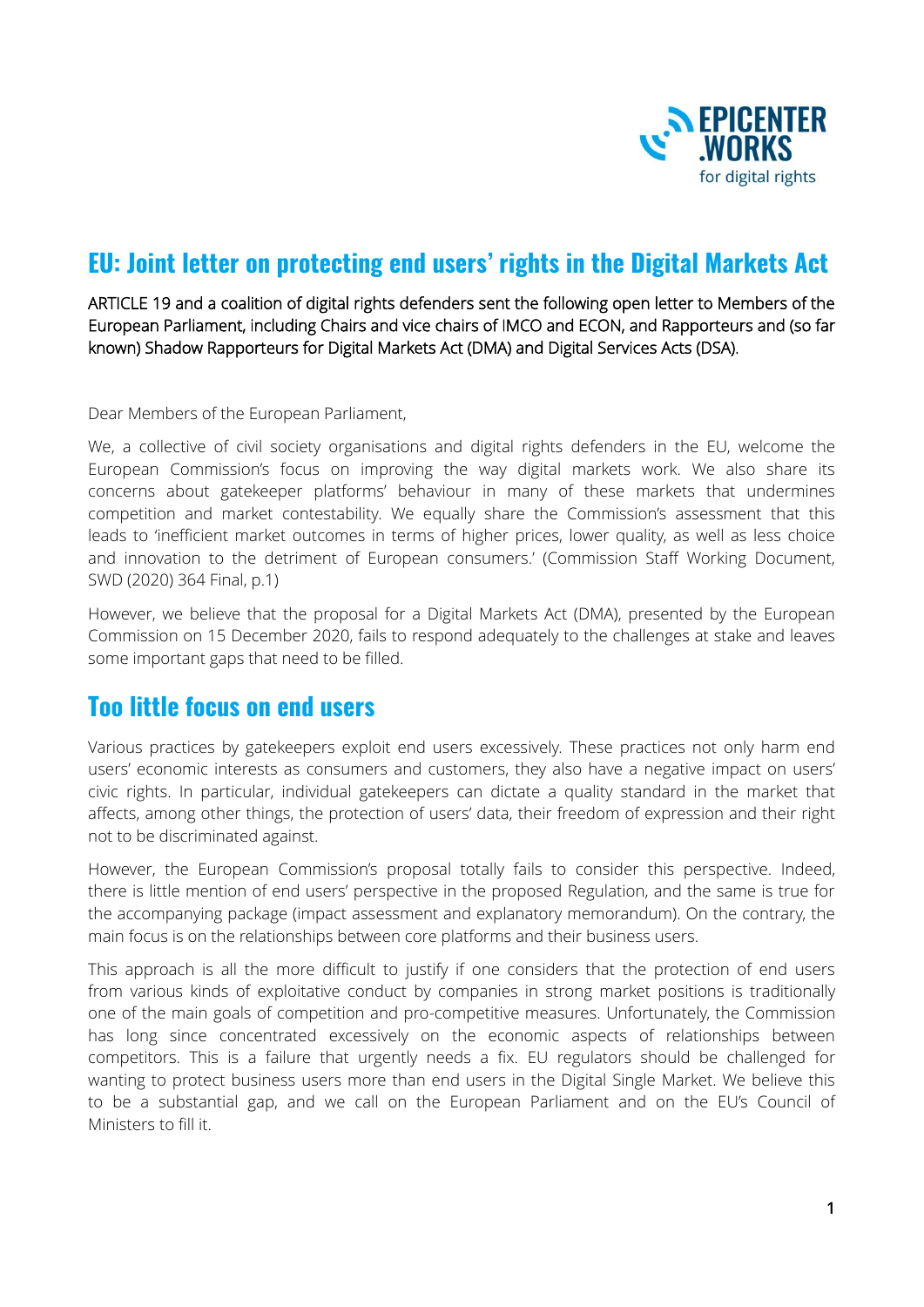

## **EU: Joint letter on protecting end users' rights in the Digital Markets Act**

ARTICLE 19 and a coalition of digital rights defenders sent the following open letter to Members of the European Parliament, including Chairs and vice chairs of IMCO and ECON, and Rapporteurs and (so far known) Shadow Rapporteurs for Digital Markets Act (DMA) and Digital Services Acts (DSA).

Dear Members of the European Parliament,

We, a collective of civil society organisations and digital rights defenders in the EU, welcome the European Commission's focus on improving the way digital markets work. We also share its concerns about gatekeeper platforms' behaviour in many of these markets that undermines competition and market contestability. We equally share the Commission's assessment that this leads to 'inefficient market outcomes in terms of higher prices, lower quality, as well as less choice and innovation to the detriment of European consumers.' (Commission Staff Working Document, SWD (2020) 364 Final, p.1)

However, we believe that the proposal for a Digital Markets Act (DMA), presented by the European Commission on 15 December 2020, fails to respond adequately to the challenges at stake and leaves some important gaps that need to be filled.

## **Too little focus on end users**

Various practices by gatekeepers exploit end users excessively. These practices not only harm end users' economic interests as consumers and customers, they also have a negative impact on users' civic rights. In particular, individual gatekeepers can dictate a quality standard in the market that affects, among other things, the protection of users' data, their freedom of expression and their right not to be discriminated against.

However, the European Commission's proposal totally fails to consider this perspective. Indeed, there is little mention of end users' perspective in the proposed Regulation, and the same is true for the accompanying package (impact assessment and explanatory memorandum). On the contrary, the main focus is on the relationships between core platforms and their business users.

This approach is all the more difficult to justify if one considers that the protection of end users from various kinds of exploitative conduct by companies in strong market positions is traditionally one of the main goals of competition and pro-competitive measures. Unfortunately, the Commission has long since concentrated excessively on the economic aspects of relationships between competitors. This is a failure that urgently needs a fix. EU regulators should be challenged for wanting to protect business users more than end users in the Digital Single Market. We believe this to be a substantial gap, and we call on the European Parliament and on the EU's Council of Ministers to fill it.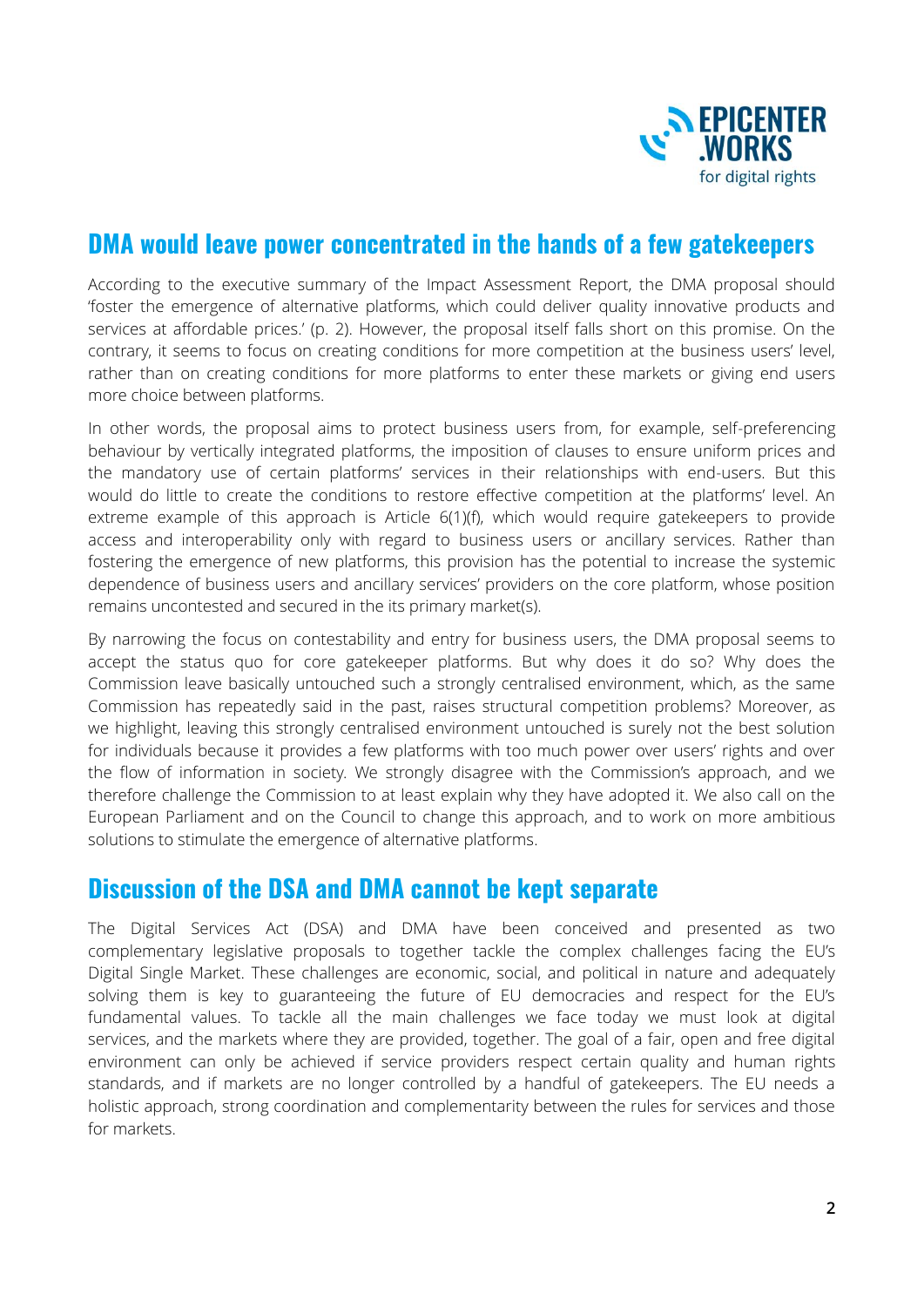

## **DMA would leave power concentrated in the hands of a few gatekeepers**

According to the executive summary of the Impact Assessment Report, the DMA proposal should 'foster the emergence of alternative platforms, which could deliver quality innovative products and services at affordable prices.' (p. 2). However, the proposal itself falls short on this promise. On the contrary, it seems to focus on creating conditions for more competition at the business users' level, rather than on creating conditions for more platforms to enter these markets or giving end users more choice between platforms.

In other words, the proposal aims to protect business users from, for example, self-preferencing behaviour by vertically integrated platforms, the imposition of clauses to ensure uniform prices and the mandatory use of certain platforms' services in their relationships with end-users. But this would do little to create the conditions to restore effective competition at the platforms' level. An extreme example of this approach is Article 6(1)(f), which would require gatekeepers to provide access and interoperability only with regard to business users or ancillary services. Rather than fostering the emergence of new platforms, this provision has the potential to increase the systemic dependence of business users and ancillary services' providers on the core platform, whose position remains uncontested and secured in the its primary market(s).

By narrowing the focus on contestability and entry for business users, the DMA proposal seems to accept the status quo for core gatekeeper platforms. But why does it do so? Why does the Commission leave basically untouched such a strongly centralised environment, which, as the same Commission has repeatedly said in the past, raises structural competition problems? Moreover, as we highlight, leaving this strongly centralised environment untouched is surely not the best solution for individuals because it provides a few platforms with too much power over users' rights and over the flow of information in society. We strongly disagree with the Commission's approach, and we therefore challenge the Commission to at least explain why they have adopted it. We also call on the European Parliament and on the Council to change this approach, and to work on more ambitious solutions to stimulate the emergence of alternative platforms.

## **Discussion of the DSA and DMA cannot be kept separate**

The Digital Services Act (DSA) and DMA have been conceived and presented as two complementary legislative proposals to together tackle the complex challenges facing the EU's Digital Single Market. These challenges are economic, social, and political in nature and adequately solving them is key to guaranteeing the future of EU democracies and respect for the EU's fundamental values. To tackle all the main challenges we face today we must look at digital services, and the markets where they are provided, together. The goal of a fair, open and free digital environment can only be achieved if service providers respect certain quality and human rights standards, and if markets are no longer controlled by a handful of gatekeepers. The EU needs a holistic approach, strong coordination and complementarity between the rules for services and those for markets.